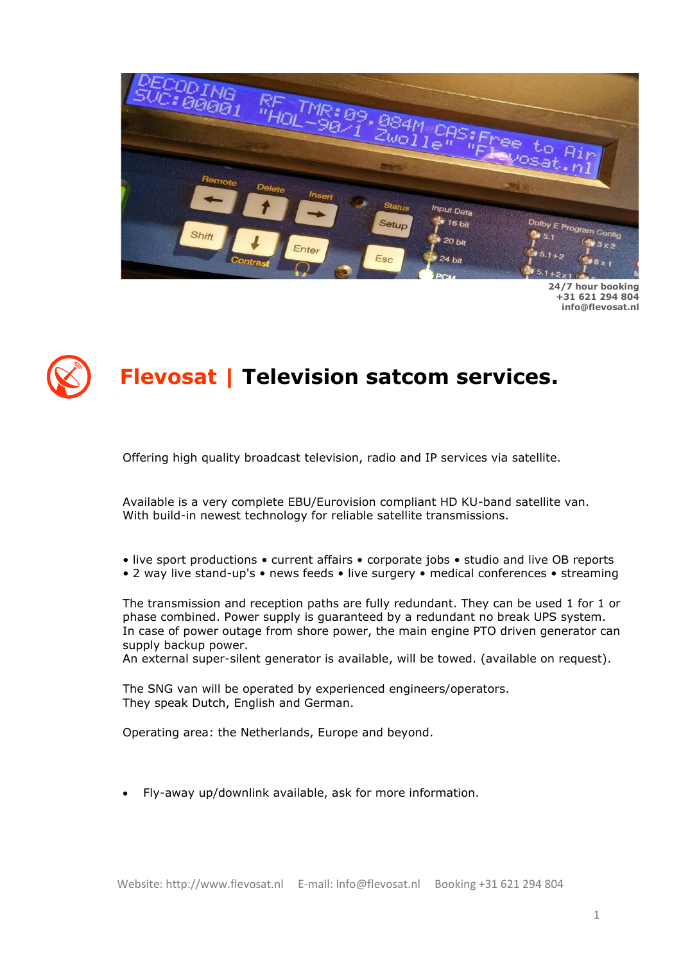

**24/7 hour booking +31 621 294 804 info@flevosat.nl**

# **Flevosat | Television satcom services.**

Offering high quality broadcast television, radio and IP services via satellite.

Available is a very complete EBU/Eurovision compliant HD KU-band satellite van. With build-in newest technology for reliable satellite transmissions.

- live sport productions current affairs corporate jobs studio and live OB reports
- 2 way live stand-up's news feeds live surgery medical conferences streaming

The transmission and reception paths are fully redundant. They can be used 1 for 1 or phase combined. Power supply is guaranteed by a redundant no break UPS system. In case of power outage from shore power, the main engine PTO driven generator can supply backup power.

An external super-silent generator is available, will be towed. (available on request).

The SNG van will be operated by experienced engineers/operators. They speak Dutch, English and German.

Operating area: the Netherlands, Europe and beyond.

• Fly-away up/downlink available, ask for more information.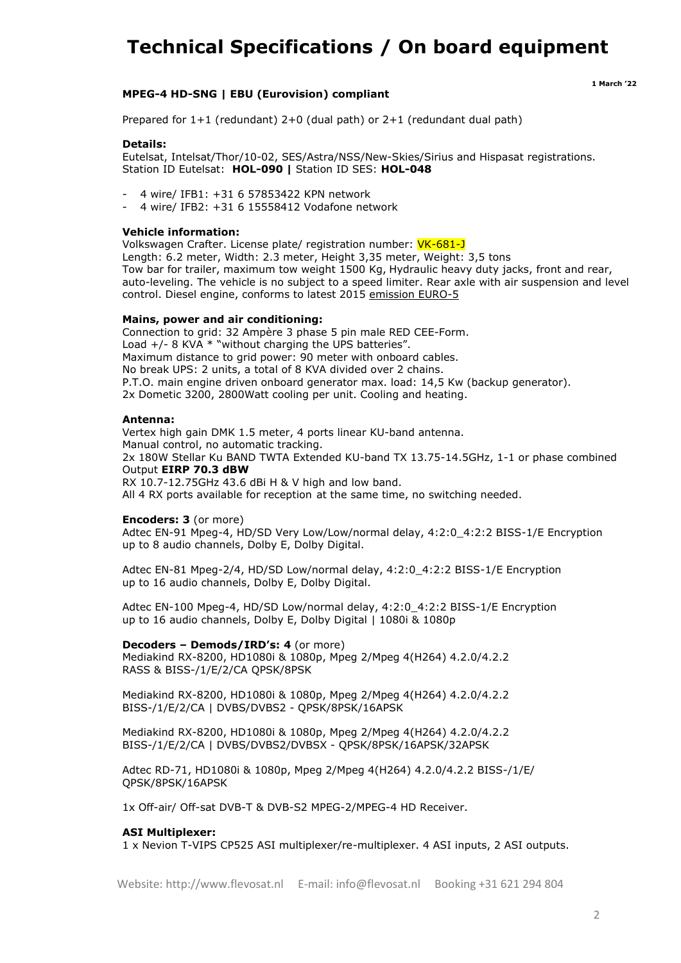# **Technical Specifications / On board equipment**

# **MPEG-4 HD-SNG | EBU (Eurovision) compliant**

 **<sup>1</sup> March '<sup>22</sup>**

Prepared for  $1+1$  (redundant)  $2+0$  (dual path) or  $2+1$  (redundant dual path)

#### **Details:**

Eutelsat, Intelsat/Thor/10-02, SES/Astra/NSS/New-Skies/Sirius and Hispasat registrations. Station ID Eutelsat: **HOL-090 |** Station ID SES: **HOL-048**

- 4 wire/ IFB1: +31 6 57853422 KPN network
- 4 wire/ IFB2: +31 6 15558412 Vodafone network

#### **Vehicle information:**

Volkswagen Crafter. License plate/ registration number: VK-681-J Length: 6.2 meter, Width: 2.3 meter, Height 3,35 meter, Weight: 3,5 tons Tow bar for trailer, maximum tow weight 1500 Kg, Hydraulic heavy duty jacks, front and rear, auto-leveling. The vehicle is no subject to a speed limiter. Rear axle with air suspension and level control. Diesel engine, conforms to latest 2015 emission EURO-5

# **Mains, power and air conditioning:**

Connection to grid: 32 Ampère 3 phase 5 pin male RED CEE-Form. Load  $+/-$  8 KVA  $*$  "without charging the UPS batteries". Maximum distance to grid power: 90 meter with onboard cables. No break UPS: 2 units, a total of 8 KVA divided over 2 chains. P.T.O. main engine driven onboard generator max. load: 14,5 Kw (backup generator). 2x Dometic 3200, 2800Watt cooling per unit. Cooling and heating.

#### **Antenna:**

Vertex high gain DMK 1.5 meter, 4 ports linear KU-band antenna. Manual control, no automatic tracking. 2x 180W Stellar Ku BAND TWTA Extended KU-band TX 13.75-14.5GHz, 1-1 or phase combined Output **EIRP 70.3 dBW**

RX 10.7-12.75GHz 43.6 dBi H & V high and low band. All 4 RX ports available for reception at the same time, no switching needed.

#### **Encoders: 3** (or more)

Adtec EN-91 Mpeg-4, HD/SD Very Low/Low/normal delay, 4:2:0\_4:2:2 BISS-1/E Encryption up to 8 audio channels, Dolby E, Dolby Digital.

Adtec EN-81 Mpeg-2/4, HD/SD Low/normal delay, 4:2:0\_4:2:2 BISS-1/E Encryption up to 16 audio channels, Dolby E, Dolby Digital.

Adtec EN-100 Mpeg-4, HD/SD Low/normal delay, 4:2:0\_4:2:2 BISS-1/E Encryption up to 16 audio channels, Dolby E, Dolby Digital | 1080i & 1080p

# **Decoders – Demods/IRD's: 4** (or more)

Mediakind RX-8200, HD1080i & 1080p, Mpeg 2/Mpeg 4(H264) 4.2.0/4.2.2 RASS & BISS-/1/E/2/CA QPSK/8PSK

Mediakind RX-8200, HD1080i & 1080p, Mpeg 2/Mpeg 4(H264) 4.2.0/4.2.2 BISS-/1/E/2/CA | DVBS/DVBS2 - QPSK/8PSK/16APSK

Mediakind RX-8200, HD1080i & 1080p, Mpeg 2/Mpeg 4(H264) 4.2.0/4.2.2 BISS-/1/E/2/CA | DVBS/DVBS2/DVBSX - QPSK/8PSK/16APSK/32APSK

Adtec RD-71, HD1080i & 1080p, Mpeg 2/Mpeg 4(H264) 4.2.0/4.2.2 BISS-/1/E/ QPSK/8PSK/16APSK

1x Off-air/ Off-sat DVB-T & DVB-S2 MPEG-2/MPEG-4 HD Receiver.

#### **ASI Multiplexer:**

1 x Nevion T-VIPS CP525 ASI multiplexer/re-multiplexer. 4 ASI inputs, 2 ASI outputs.

Website: http://www.flevosat.nl E-mail: info@flevosat.nl Booking +31 621 294 804